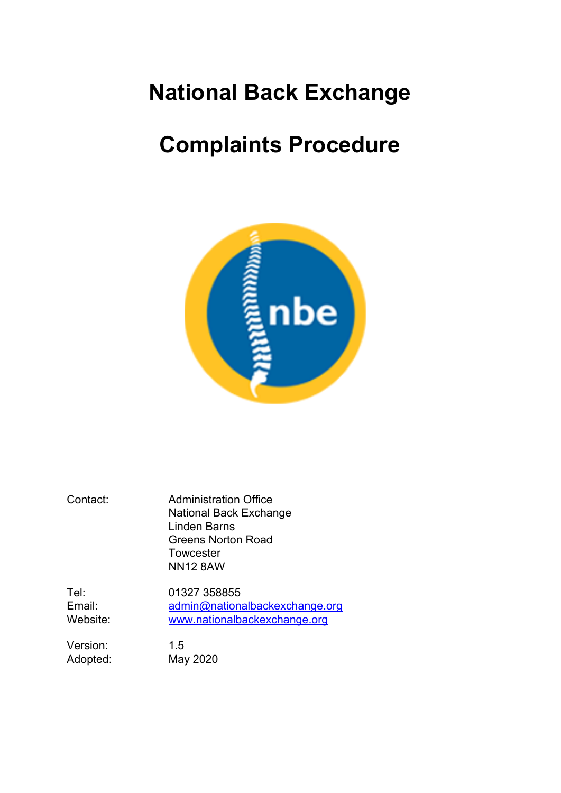# **National Back Exchange**

# **Complaints Procedure**



Contact: Administration Office National Back Exchange Linden Barns Greens Norton Road **Towcester** NN12 8AW

Tel: 01327 358855 Email: [admin@nationalbackexchange.org](mailto:admin@nationalbackexchange.org) Website: [www.nationalbackexchange.org](http://www.nationalbackexchange.org/)

Version: 1.5 Adopted: May 2020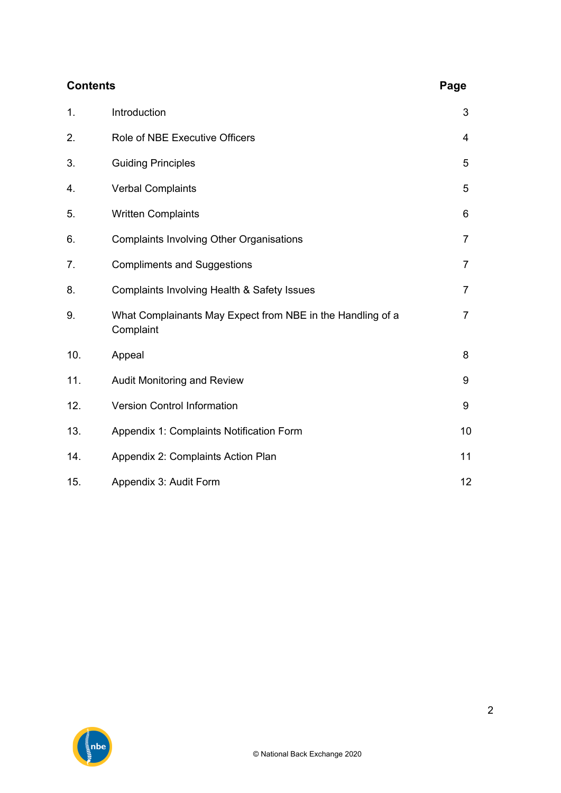| <b>Contents</b> |                                                                         |                |  |  |
|-----------------|-------------------------------------------------------------------------|----------------|--|--|
| 1.              | Introduction                                                            | 3              |  |  |
| 2.              | Role of NBE Executive Officers                                          | $\overline{4}$ |  |  |
| 3.              | <b>Guiding Principles</b>                                               | 5              |  |  |
| 4.              | <b>Verbal Complaints</b>                                                | 5              |  |  |
| 5.              | <b>Written Complaints</b>                                               | 6              |  |  |
| 6.              | <b>Complaints Involving Other Organisations</b>                         | $\overline{7}$ |  |  |
| 7.              | <b>Compliments and Suggestions</b>                                      | $\overline{7}$ |  |  |
| 8.              | <b>Complaints Involving Health &amp; Safety Issues</b>                  | $\overline{7}$ |  |  |
| 9.              | What Complainants May Expect from NBE in the Handling of a<br>Complaint | $\overline{7}$ |  |  |
| 10.             | Appeal                                                                  | 8              |  |  |
| 11.             | Audit Monitoring and Review                                             | 9              |  |  |
| 12.             | <b>Version Control Information</b>                                      | 9              |  |  |
| 13.             | Appendix 1: Complaints Notification Form                                | 10             |  |  |
| 14.             | Appendix 2: Complaints Action Plan                                      | 11             |  |  |
| 15.             | Appendix 3: Audit Form                                                  | 12             |  |  |

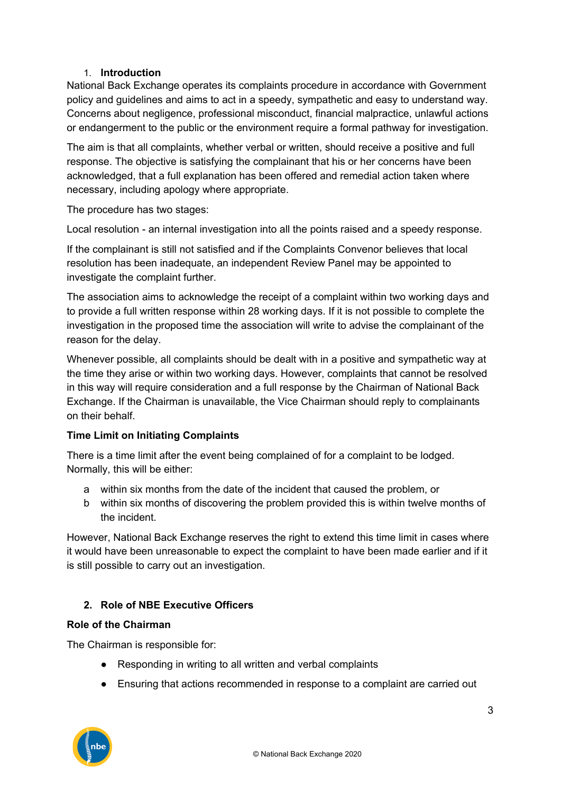#### 1. **Introduction**

National Back Exchange operates its complaints procedure in accordance with Government policy and guidelines and aims to act in a speedy, sympathetic and easy to understand way. Concerns about negligence, professional misconduct, financial malpractice, unlawful actions or endangerment to the public or the environment require a formal pathway for investigation.

The aim is that all complaints, whether verbal or written, should receive a positive and full response. The objective is satisfying the complainant that his or her concerns have been acknowledged, that a full explanation has been offered and remedial action taken where necessary, including apology where appropriate.

The procedure has two stages:

Local resolution - an internal investigation into all the points raised and a speedy response.

If the complainant is still not satisfied and if the Complaints Convenor believes that local resolution has been inadequate, an independent Review Panel may be appointed to investigate the complaint further.

The association aims to acknowledge the receipt of a complaint within two working days and to provide a full written response within 28 working days. If it is not possible to complete the investigation in the proposed time the association will write to advise the complainant of the reason for the delay.

Whenever possible, all complaints should be dealt with in a positive and sympathetic way at the time they arise or within two working days. However, complaints that cannot be resolved in this way will require consideration and a full response by the Chairman of National Back Exchange. If the Chairman is unavailable, the Vice Chairman should reply to complainants on their behalf.

#### **Time Limit on Initiating Complaints**

There is a time limit after the event being complained of for a complaint to be lodged. Normally, this will be either:

- a within six months from the date of the incident that caused the problem, or
- b within six months of discovering the problem provided this is within twelve months of the incident.

However, National Back Exchange reserves the right to extend this time limit in cases where it would have been unreasonable to expect the complaint to have been made earlier and if it is still possible to carry out an investigation.

#### **2. Role of NBE Executive Officers**

#### **Role of the Chairman**

The Chairman is responsible for:

- Responding in writing to all written and verbal complaints
- Ensuring that actions recommended in response to a complaint are carried out

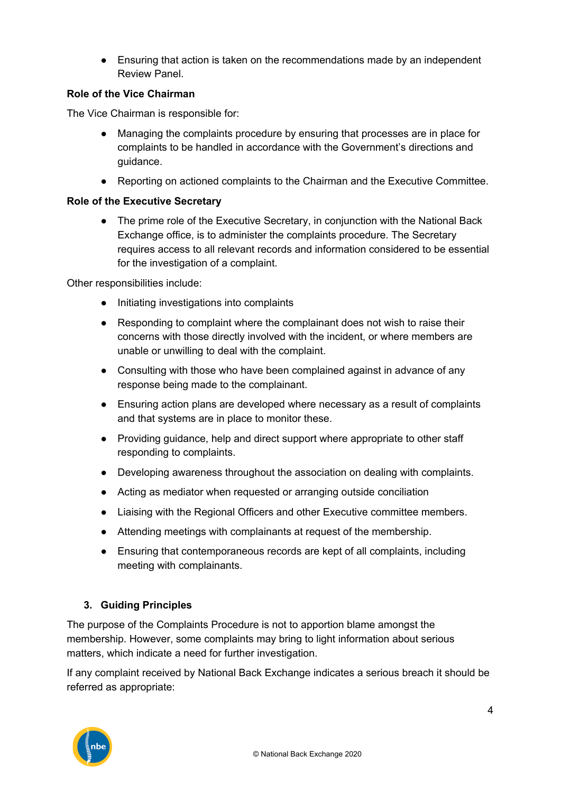• Ensuring that action is taken on the recommendations made by an independent Review Panel.

#### **Role of the Vice Chairman**

The Vice Chairman is responsible for:

- Managing the complaints procedure by ensuring that processes are in place for complaints to be handled in accordance with the Government's directions and guidance.
- Reporting on actioned complaints to the Chairman and the Executive Committee.

#### **Role of the Executive Secretary**

• The prime role of the Executive Secretary, in conjunction with the National Back Exchange office, is to administer the complaints procedure. The Secretary requires access to all relevant records and information considered to be essential for the investigation of a complaint.

Other responsibilities include:

- Initiating investigations into complaints
- Responding to complaint where the complainant does not wish to raise their concerns with those directly involved with the incident, or where members are unable or unwilling to deal with the complaint.
- Consulting with those who have been complained against in advance of any response being made to the complainant.
- Ensuring action plans are developed where necessary as a result of complaints and that systems are in place to monitor these.
- Providing guidance, help and direct support where appropriate to other staff responding to complaints.
- Developing awareness throughout the association on dealing with complaints.
- Acting as mediator when requested or arranging outside conciliation
- Liaising with the Regional Officers and other Executive committee members.
- Attending meetings with complainants at request of the membership.
- Ensuring that contemporaneous records are kept of all complaints, including meeting with complainants.

### **3. Guiding Principles**

The purpose of the Complaints Procedure is not to apportion blame amongst the membership. However, some complaints may bring to light information about serious matters, which indicate a need for further investigation.

If any complaint received by National Back Exchange indicates a serious breach it should be referred as appropriate:

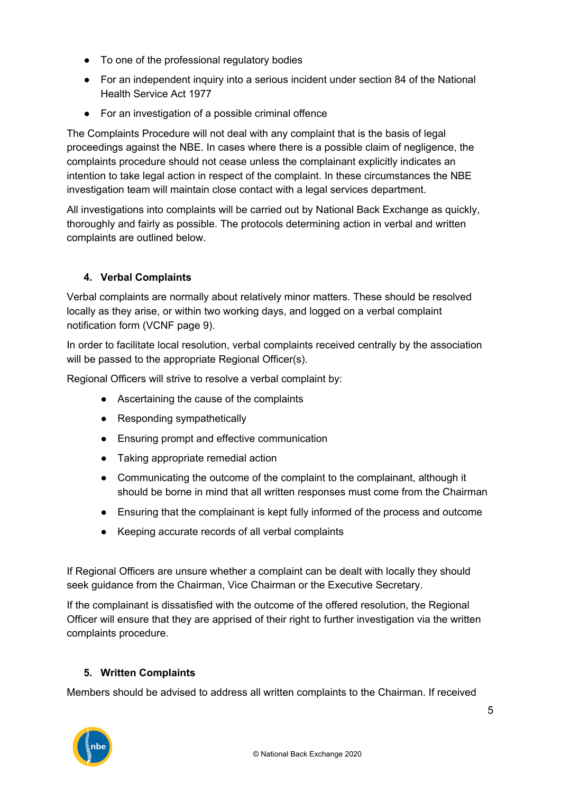- To one of the professional regulatory bodies
- For an independent inquiry into a serious incident under section 84 of the National Health Service Act 1977
- For an investigation of a possible criminal offence

The Complaints Procedure will not deal with any complaint that is the basis of legal proceedings against the NBE. In cases where there is a possible claim of negligence, the complaints procedure should not cease unless the complainant explicitly indicates an intention to take legal action in respect of the complaint. In these circumstances the NBE investigation team will maintain close contact with a legal services department.

All investigations into complaints will be carried out by National Back Exchange as quickly, thoroughly and fairly as possible. The protocols determining action in verbal and written complaints are outlined below.

#### **4. Verbal Complaints**

Verbal complaints are normally about relatively minor matters. These should be resolved locally as they arise, or within two working days, and logged on a verbal complaint notification form (VCNF page 9).

In order to facilitate local resolution, verbal complaints received centrally by the association will be passed to the appropriate Regional Officer(s).

Regional Officers will strive to resolve a verbal complaint by:

- Ascertaining the cause of the complaints
- Responding sympathetically
- Ensuring prompt and effective communication
- Taking appropriate remedial action
- Communicating the outcome of the complaint to the complainant, although it should be borne in mind that all written responses must come from the Chairman
- Ensuring that the complainant is kept fully informed of the process and outcome
- Keeping accurate records of all verbal complaints

If Regional Officers are unsure whether a complaint can be dealt with locally they should seek guidance from the Chairman, Vice Chairman or the Executive Secretary.

If the complainant is dissatisfied with the outcome of the offered resolution, the Regional Officer will ensure that they are apprised of their right to further investigation via the written complaints procedure.

#### **5. Written Complaints**

Members should be advised to address all written complaints to the Chairman. If received

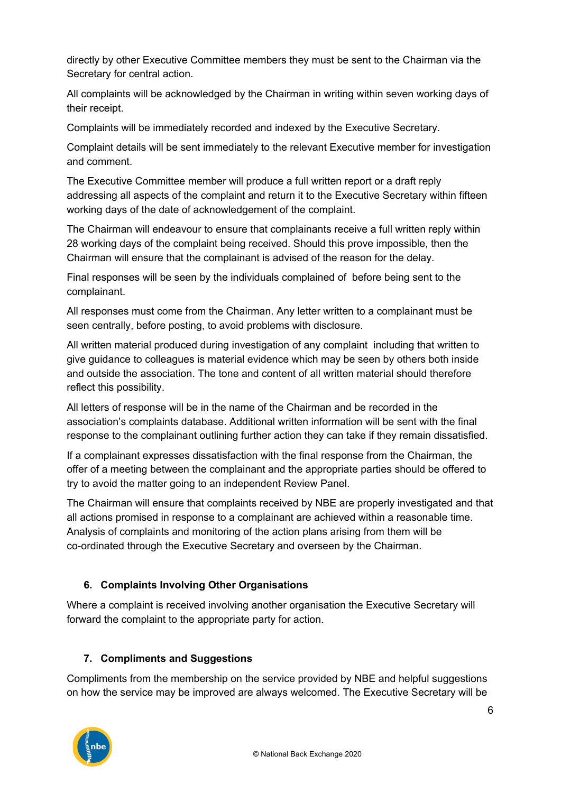directly by other Executive Committee members they must be sent to the Chairman via the Secretary for central action.

All complaints will be acknowledged by the Chairman in writing within seven working days of their receipt.

Complaints will be immediately recorded and indexed by the Executive Secretary.

Complaint details will be sent immediately to the relevant Executive member for investigation and comment.

The Executive Committee member will produce a full written report or a draft reply addressing all aspects of the complaint and return it to the Executive Secretary within fifteen working days of the date of acknowledgement of the complaint.

The Chairman will endeavour to ensure that complainants receive a full written reply within 28 working days of the complaint being received. Should this prove impossible, then the Chairman will ensure that the complainant is advised of the reason for the delay.

Final responses will be seen by the individuals complained of before being sent to the complainant.

All responses must come from the Chairman. Any letter written to a complainant must be seen centrally, before posting, to avoid problems with disclosure.

All written material produced during investigation of any complaint including that written to give guidance to colleagues is material evidence which may be seen by others both inside and outside the association. The tone and content of all written material should therefore reflect this possibility.

All letters of response will be in the name of the Chairman and be recorded in the association's complaints database. Additional written information will be sent with the final response to the complainant outlining further action they can take if they remain dissatisfied.

If a complainant expresses dissatisfaction with the final response from the Chairman, the offer of a meeting between the complainant and the appropriate parties should be offered to try to avoid the matter going to an independent Review Panel.

The Chairman will ensure that complaints received by NBE are properly investigated and that all actions promised in response to a complainant are achieved within a reasonable time. Analysis of complaints and monitoring of the action plans arising from them will be co-ordinated through the Executive Secretary and overseen by the Chairman.

### **6. Complaints Involving Other Organisations**

Where a complaint is received involving another organisation the Executive Secretary will forward the complaint to the appropriate party for action.

### **7. Compliments and Suggestions**

Compliments from the membership on the service provided by NBE and helpful suggestions on how the service may be improved are always welcomed. The Executive Secretary will be

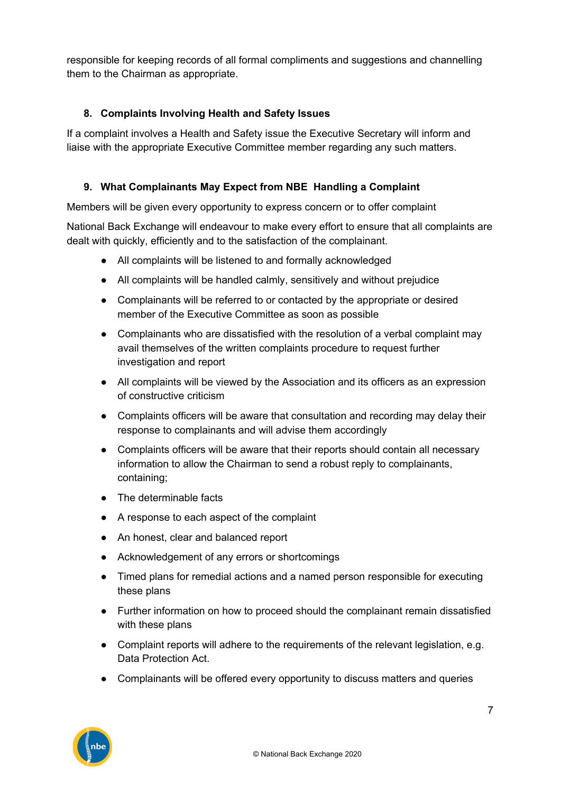responsible for keeping records of all formal compliments and suggestions and channelling them to the Chairman as appropriate.

#### **8. Complaints Involving Health and Safety Issues**

If a complaint involves a Health and Safety issue the Executive Secretary will inform and liaise with the appropriate Executive Committee member regarding any such matters.

#### **9. What Complainants May Expect from NBE Handling a Complaint**

Members will be given every opportunity to express concern or to offer complaint

National Back Exchange will endeavour to make every effort to ensure that all complaints are dealt with quickly, efficiently and to the satisfaction of the complainant.

- All complaints will be listened to and formally acknowledged
- All complaints will be handled calmly, sensitively and without prejudice
- Complainants will be referred to or contacted by the appropriate or desired member of the Executive Committee as soon as possible
- Complainants who are dissatisfied with the resolution of a verbal complaint may avail themselves of the written complaints procedure to request further investigation and report
- All complaints will be viewed by the Association and its officers as an expression of constructive criticism
- Complaints officers will be aware that consultation and recording may delay their response to complainants and will advise them accordingly
- Complaints officers will be aware that their reports should contain all necessary information to allow the Chairman to send a robust reply to complainants, containing;
- The determinable facts
- A response to each aspect of the complaint
- An honest, clear and balanced report
- Acknowledgement of any errors or shortcomings
- Timed plans for remedial actions and a named person responsible for executing these plans
- Further information on how to proceed should the complainant remain dissatisfied with these plans
- Complaint reports will adhere to the requirements of the relevant legislation, e.g. Data Protection Act.
- Complainants will be offered every opportunity to discuss matters and queries

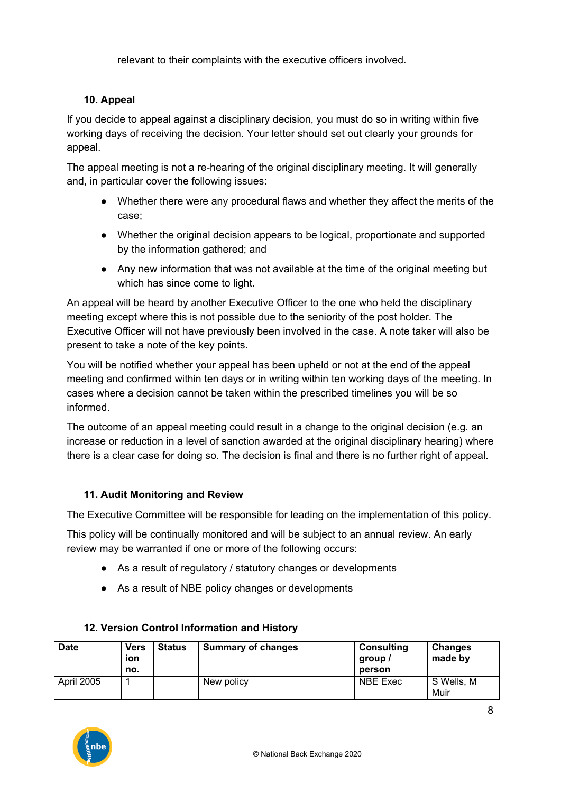relevant to their complaints with the executive officers involved.

#### **10. Appeal**

If you decide to appeal against a disciplinary decision, you must do so in writing within five working days of receiving the decision. Your letter should set out clearly your grounds for appeal.

The appeal meeting is not a re-hearing of the original disciplinary meeting. It will generally and, in particular cover the following issues:

- Whether there were any procedural flaws and whether they affect the merits of the case;
- Whether the original decision appears to be logical, proportionate and supported by the information gathered; and
- Any new information that was not available at the time of the original meeting but which has since come to light.

An appeal will be heard by another Executive Officer to the one who held the disciplinary meeting except where this is not possible due to the seniority of the post holder. The Executive Officer will not have previously been involved in the case. A note taker will also be present to take a note of the key points.

You will be notified whether your appeal has been upheld or not at the end of the appeal meeting and confirmed within ten days or in writing within ten working days of the meeting. In cases where a decision cannot be taken within the prescribed timelines you will be so informed.

The outcome of an appeal meeting could result in a change to the original decision (e.g. an increase or reduction in a level of sanction awarded at the original disciplinary hearing) where there is a clear case for doing so. The decision is final and there is no further right of appeal.

#### **11. Audit Monitoring and Review**

The Executive Committee will be responsible for leading on the implementation of this policy.

This policy will be continually monitored and will be subject to an annual review. An early review may be warranted if one or more of the following occurs:

- As a result of regulatory / statutory changes or developments
- As a result of NBE policy changes or developments

| <b>Date</b> | <b>Vers</b><br>ion<br>no. | <b>Status</b> | <b>Summary of changes</b> | <b>Consulting</b><br>group /<br>person | <b>Changes</b><br>made by |
|-------------|---------------------------|---------------|---------------------------|----------------------------------------|---------------------------|
| April 2005  |                           |               | New policy                | <b>NBE Exec</b>                        | S Wells, M<br>Muir        |

#### **12. Version Control Information and History**

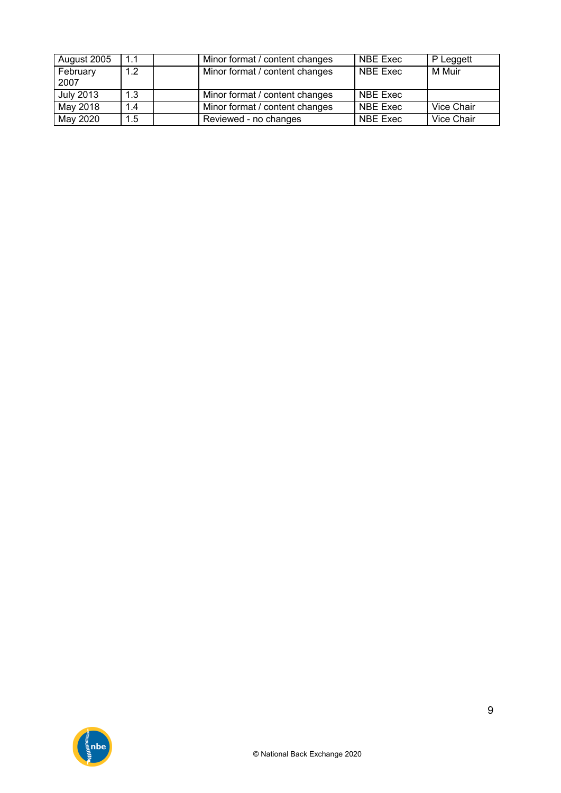| August 2005      | 1.1 | Minor format / content changes | NBE Exec        | P Leggett  |
|------------------|-----|--------------------------------|-----------------|------------|
| February         | 1.2 | Minor format / content changes | NBE Exec        | M Muir     |
| 2007             |     |                                |                 |            |
| <b>July 2013</b> | 1.3 | Minor format / content changes | NBE Exec        |            |
| May 2018         | 1.4 | Minor format / content changes | NBE Exec        | Vice Chair |
| May 2020         | 1.5 | Reviewed - no changes          | <b>NBE Exec</b> | Vice Chair |

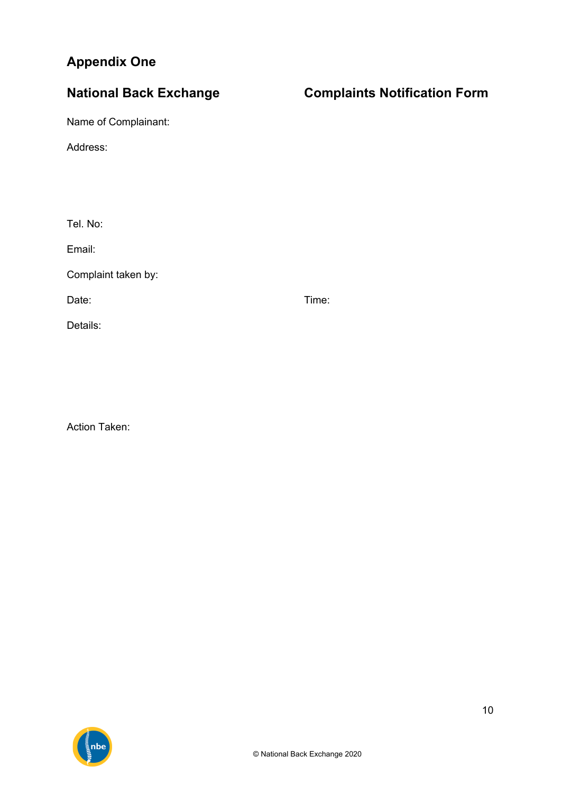# **Appendix One**

Name of Complainant:

Address:

Tel. No:

Email:

Complaint taken by:

Date: Time: Time: The Solution of the Solution of the Solution of the Time: Time:

Details:

Action Taken:



# **National Back Exchange Complaints Notification Form**

10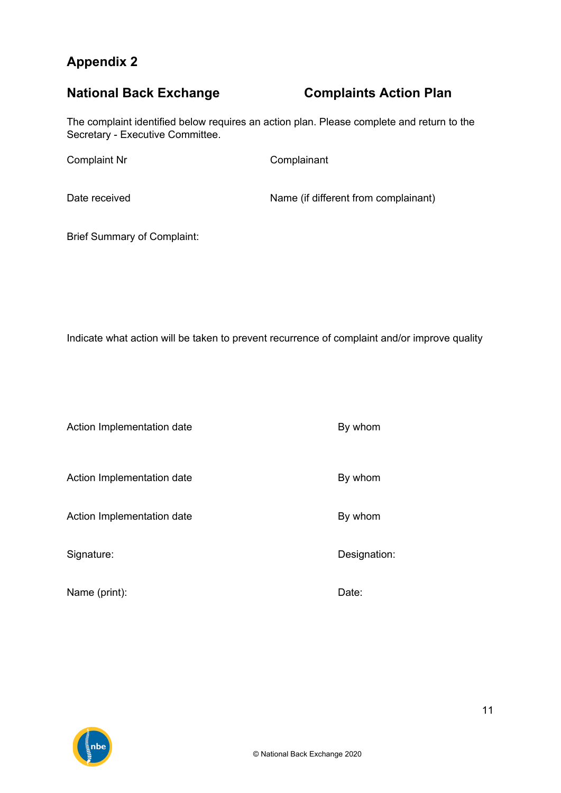## **Appendix 2**

# **National Back Exchange Complaints Action Plan**

The complaint identified below requires an action plan. Please complete and return to the Secretary - Executive Committee.

Complaint Nr Complainant

Date received Name (if different from complainant)

Brief Summary of Complaint:

Indicate what action will be taken to prevent recurrence of complaint and/or improve quality

Action Implementation date By whom

Action Implementation date By whom

Action Implementation date By whom

Name (print): Date:

Signature: Signature: Signature: Signature: Signature: Signature: Designation: Designation: